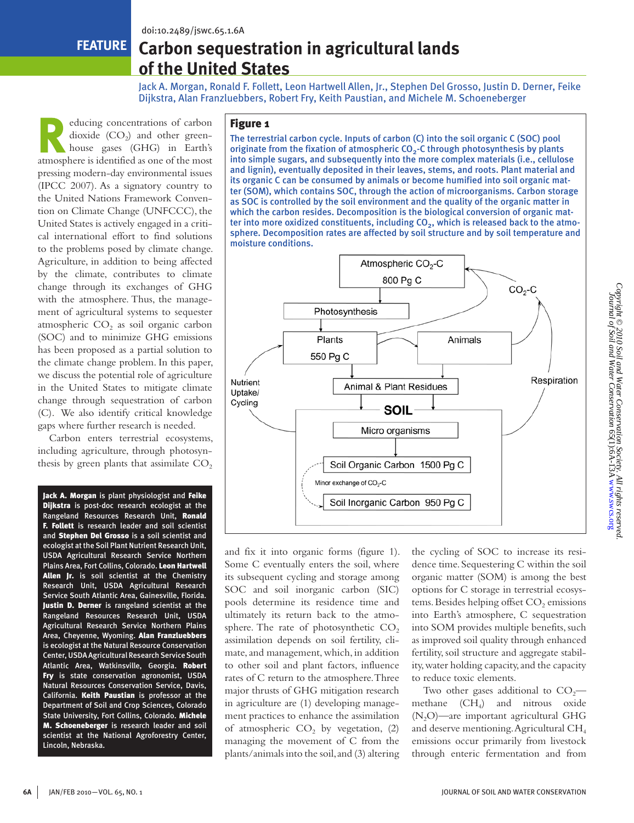**Feature**

# **Carbon sequestration in agricultural lands of the United States**

Jack A. Morgan, Ronald F. Follett, Leon Hartwell Allen, Jr., Stephen Del Grosso, Justin D. Derner, Feike Dijkstra, Alan Franzluebbers, Robert Fry, Keith Paustian, and Michele M. Schoeneberger

educing concentrations of carbon<br>
dioxide (CO<sub>2</sub>) and other green-<br>
house gases (GHG) in Earth's dioxide  $(CO<sub>2</sub>)$  and other greenatmosphere is identified as one of the most pressing modern-day environmental issues (IPCC 2007). As a signatory country to the United Nations Framework Convention on Climate Change (UNFCCC), the United States is actively engaged in a critical international effort to find solutions to the problems posed by climate change. Agriculture, in addition to being affected by the climate, contributes to climate change through its exchanges of GHG with the atmosphere. Thus, the management of agricultural systems to sequester atmospheric  $CO<sub>2</sub>$  as soil organic carbon (SOC) and to minimize GHG emissions has been proposed as a partial solution to the climate change problem. In this paper, we discuss the potential role of agriculture in the United States to mitigate climate change through sequestration of carbon (C). We also identify critical knowledge gaps where further research is needed.

Carbon enters terrestrial ecosystems, including agriculture, through photosynthesis by green plants that assimilate  $CO<sub>2</sub>$ 

Jack A. Morgan is plant physiologist and Feike Dijkstra is post-doc research ecologist at the Rangeland Resources Research Unit, Ronald F. Follett is research leader and soil scientist and Stephen Del Grosso is a soil scientist and ecologist at the Soil Plant Nutrient Research Unit, USDA Agricultural Research Service Northern Plains Area, Fort Collins, Colorado. Leon Hartwell Allen Jr. is soil scientist at the Chemistry Research Unit, USDA Agricultural Research Service South Atlantic Area, Gainesville, Florida. Justin D. Derner is rangeland scientist at the Rangeland Resources Research Unit, USDA Agricultural Research Service Northern Plains Area, Cheyenne, Wyoming. Alan Franzluebbers is ecologist at the Natural Resource Conservation Center, USDA Agricultural Research Service South Atlantic Area, Watkinsville, Georgia. Robert Fry is state conservation agronomist, USDA Natural Resources Conservation Service, Davis, California. Keith Paustian is professor at the Department of Soil and Crop Sciences, Colorado State University, Fort Collins, Colorado. Michele M. Schoeneberger is research leader and soil scientist at the National Agroforestry Center, Lincoln, Nebraska.

## Figure 1

The terrestrial carbon cycle. Inputs of carbon (C) into the soil organic C (SOC) pool originate from the fixation of atmospheric  $CO<sub>2</sub>$ -C through photosynthesis by plants into simple sugars, and subsequently into the more complex materials (i.e., cellulose and lignin), eventually deposited in their leaves, stems, and roots. Plant material and its organic C can be consumed by animals or become humified into soil organic matter (SOM), which contains SOC, through the action of microorganisms. Carbon storage as SOC is controlled by the soil environment and the quality of the organic matter in which the carbon resides. Decomposition is the biological conversion of organic matter into more oxidized constituents, including  $CO<sub>2</sub>$ , which is released back to the atmosphere. Decomposition rates are affected by soil structure and by soil temperature and moisture conditions.



and fix it into organic forms (figure 1). Some C eventually enters the soil, where its subsequent cycling and storage among SOC and soil inorganic carbon (SIC) pools determine its residence time and ultimately its return back to the atmosphere. The rate of photosynthetic  $CO<sub>2</sub>$ assimilation depends on soil fertility, climate, and management, which, in addition to other soil and plant factors, influence rates of C return to the atmosphere. Three major thrusts of GHG mitigation research in agriculture are (1) developing management practices to enhance the assimilation of atmospheric  $CO<sub>2</sub>$  by vegetation, (2) managing the movement of C from the plants/animals into the soil, and (3) altering the cycling of SOC to increase its residence time. Sequestering C within the soil organic matter (SOM) is among the best options for C storage in terrestrial ecosystems. Besides helping offset CO<sub>2</sub> emissions into Earth's atmosphere, C sequestration into SOM provides multiple benefits, such as improved soil quality through enhanced fertility, soil structure and aggregate stability, water holding capacity, and the capacity to reduce toxic elements.

Two other gases additional to  $CO<sub>2</sub>$  methane (CH4) and nitrous oxide  $(N<sub>2</sub>O)$ —are important agricultural GHG and deserve mentioning. Agricultural CH4 emissions occur primarily from livestock through enteric fermentation and from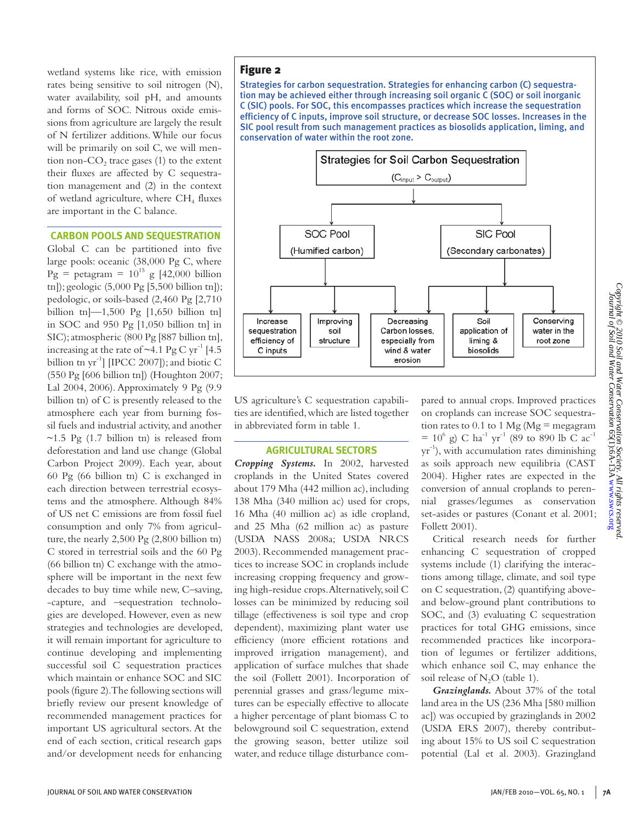wetland systems like rice, with emission rates being sensitive to soil nitrogen (N), water availability, soil pH, and amounts and forms of SOC. Nitrous oxide emissions from agriculture are largely the result of N fertilizer additions. While our focus will be primarily on soil C, we will mention non- $CO<sub>2</sub>$  trace gases (1) to the extent their fluxes are affected by C sequestration management and (2) in the context of wetland agriculture, where  $CH<sub>4</sub>$  fluxes are important in the C balance.

#### **Carbon Pools and Sequestration**

Global C can be partitioned into five large pools: oceanic (38,000 Pg C, where  $Pg = \text{petagram} = 10^{15} g [42,000 billion]$ tn]); geologic (5,000 Pg [5,500 billion tn]); pedologic, or soils-based (2,460 Pg [2,710 billion tn]—1,500 Pg [1,650 billion tn] in SOC and 950 Pg [1,050 billion tn] in SIC); atmospheric (800 Pg [887 billion tn], increasing at the rate of  $\sim$ 4.1 Pg C yr<sup>-1</sup> [4.5] billion tn  $\text{yr}^{-1}$  [IPCC 2007]); and biotic C (550 Pg [606 billion tn]) (Houghton 2007; Lal 2004, 2006). Approximately 9 Pg (9.9 billion tn) of C is presently released to the atmosphere each year from burning fossil fuels and industrial activity, and another  $\sim$ 1.5 Pg (1.7 billion tn) is released from deforestation and land use change (Global Carbon Project 2009). Each year, about 60 Pg (66 billion tn) C is exchanged in each direction between terrestrial ecosystems and the atmosphere. Although 84% of US net C emissions are from fossil fuel consumption and only 7% from agriculture, the nearly 2,500 Pg (2,800 billion tn) C stored in terrestrial soils and the 60 Pg (66 billion tn) C exchange with the atmosphere will be important in the next few decades to buy time while new, C–saving, -capture, and –sequestration technologies are developed. However, even as new strategies and technologies are developed, it will remain important for agriculture to continue developing and implementing successful soil C sequestration practices which maintain or enhance SOC and SIC pools (figure 2). The following sections will briefly review our present knowledge of recommended management practices for important US agricultural sectors. At the end of each section, critical research gaps and/or development needs for enhancing

### Figure 2

Strategies for carbon sequestration. Strategies for enhancing carbon (C) sequestration may be achieved either through increasing soil organic C (SOC) or soil inorganic C (SIC) pools. For SOC, this encompasses practices which increase the sequestration efficiency of C inputs, improve soil structure, or decrease SOC losses. Increases in the SIC pool result from such management practices as biosolids application, liming, and conservation of water within the root zone.



US agriculture's C sequestration capabilities are identified, which are listed together in abbreviated form in table 1.

#### **Agricultural Sectors**

*Cropping Systems.* In 2002, harvested croplands in the United States covered about 179 Mha (442 million ac), including 138 Mha (340 million ac) used for crops, 16 Mha (40 million ac) as idle cropland, and 25 Mha (62 million ac) as pasture (USDA NASS 2008a; USDA NRCS 2003). Recommended management practices to increase SOC in croplands include increasing cropping frequency and growing high-residue crops. Alternatively, soil C losses can be minimized by reducing soil tillage (effectiveness is soil type and crop dependent), maximizing plant water use efficiency (more efficient rotations and improved irrigation management), and application of surface mulches that shade the soil (Follett 2001). Incorporation of perennial grasses and grass/legume mixtures can be especially effective to allocate a higher percentage of plant biomass C to belowground soil C sequestration, extend the growing season, better utilize soil water, and reduce tillage disturbance compared to annual crops. Improved practices on croplands can increase SOC sequestration rates to  $0.1$  to  $1 \text{ Mg}$  (Mg = megagram  $= 10^6$  g) C ha<sup>-1</sup> yr<sup>-1</sup> (89 to 890 lb C ac<sup>-1</sup>  $yr^{-1}$ ), with accumulation rates diminishing as soils approach new equilibria (CAST 2004). Higher rates are expected in the conversion of annual croplands to perennial grasses/legumes as conservation set-asides or pastures (Conant et al. 2001; Follett 2001).

Critical research needs for further enhancing C sequestration of cropped systems include (1) clarifying the interactions among tillage, climate, and soil type on C sequestration, (2) quantifying aboveand below-ground plant contributions to SOC, and (3) evaluating C sequestration practices for total GHG emissions, since recommended practices like incorporation of legumes or fertilizer additions, which enhance soil C, may enhance the soil release of  $N_2O$  (table 1).

*Grazinglands.* About 37% of the total land area in the US (236 Mha [580 million ac]) was occupied by grazinglands in 2002 (USDA ERS 2007), thereby contributing about 15% to US soil C sequestration potential (Lal et al. 2003). Grazingland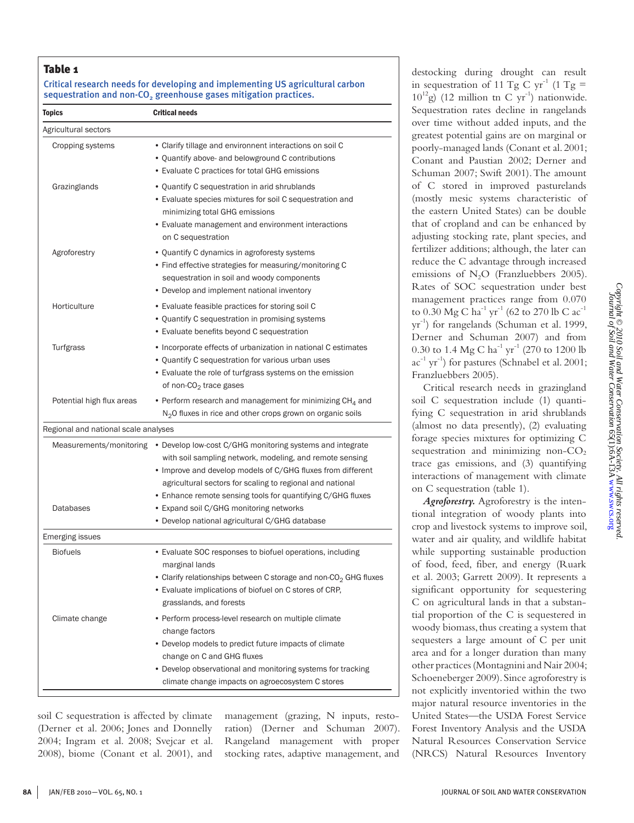## Table 1

## Critical research needs for developing and implementing US agricultural carbon sequestration and non- $CO<sub>2</sub>$  greenhouse gases mitigation practices.

| <b>Topics</b>                        | <b>Critical needs</b>                                                                                                                                                                                                                                                                                            |
|--------------------------------------|------------------------------------------------------------------------------------------------------------------------------------------------------------------------------------------------------------------------------------------------------------------------------------------------------------------|
| Agricultural sectors                 |                                                                                                                                                                                                                                                                                                                  |
| Cropping systems                     | • Clarify tillage and environnent interactions on soil C<br>• Quantify above- and belowground C contributions<br>• Evaluate C practices for total GHG emissions                                                                                                                                                  |
| Grazinglands                         | • Quantify C sequestration in arid shrublands<br>• Evaluate species mixtures for soil C sequestration and<br>minimizing total GHG emissions<br>• Evaluate management and environment interactions<br>on C sequestration                                                                                          |
| Agroforestry                         | • Quantify C dynamics in agroforesty systems<br>• Find effective strategies for measuring/monitoring C<br>sequestration in soil and woody components<br>• Develop and implement national inventory                                                                                                               |
| Horticulture                         | • Evaluate feasible practices for storing soil C<br>• Quantify C sequestration in promising systems<br>• Evaluate benefits beyond C sequestration                                                                                                                                                                |
| Turfgrass                            | • Incorporate effects of urbanization in national C estimates<br>• Quantify C sequestration for various urban uses<br>• Evaluate the role of turfgrass systems on the emission<br>of non- $CO2$ trace gases                                                                                                      |
| Potential high flux areas            | • Perform research and management for minimizing $CH4$ and<br>$N2$ O fluxes in rice and other crops grown on organic soils                                                                                                                                                                                       |
| Regional and national scale analyses |                                                                                                                                                                                                                                                                                                                  |
| Measurements/monitoring              | • Develop low-cost C/GHG monitoring systems and integrate<br>with soil sampling network, modeling, and remote sensing<br>• Improve and develop models of C/GHG fluxes from different<br>agricultural sectors for scaling to regional and national<br>• Enhance remote sensing tools for quantifying C/GHG fluxes |
| Databases                            | • Expand soil C/GHG monitoring networks<br>• Develop national agricultural C/GHG database                                                                                                                                                                                                                        |
| <b>Emerging issues</b>               |                                                                                                                                                                                                                                                                                                                  |
| <b>Biofuels</b>                      | • Evaluate SOC responses to biofuel operations, including<br>marginal lands<br>• Clarify relationships between C storage and non-CO <sub>2</sub> GHG fluxes<br>• Evaluate implications of biofuel on C stores of CRP,<br>grasslands, and forests                                                                 |
| Climate change                       | • Perform process-level research on multiple climate<br>change factors<br>• Develop models to predict future impacts of climate<br>change on C and GHG fluxes<br>• Develop observational and monitoring systems for tracking<br>climate change impacts on agroecosystem C stores                                 |

soil C sequestration is affected by climate (Derner et al. 2006; Jones and Donnelly 2004; Ingram et al. 2008; Svejcar et al. 2008), biome (Conant et al. 2001), and

management (grazing, N inputs, restoration) (Derner and Schuman 2007). Rangeland management with proper stocking rates, adaptive management, and

destocking during drought can result in sequestration of 11 Tg C yr<sup>-1</sup> (1 Tg =  $10^{12}$ g) (12 million tn C yr<sup>-1</sup>) nationwide. Sequestration rates decline in rangelands over time without added inputs, and the greatest potential gains are on marginal or poorly-managed lands (Conant et al. 2001; Conant and Paustian 2002; Derner and Schuman 2007; Swift 2001). The amount of C stored in improved pasturelands (mostly mesic systems characteristic of the eastern United States) can be double that of cropland and can be enhanced by adjusting stocking rate, plant species, and fertilizer additions; although, the later can reduce the C advantage through increased emissions of  $N_2O$  (Franzluebbers 2005). Rates of SOC sequestration under best management practices range from 0.070 to 0.30 Mg C ha<sup>-1</sup> yr<sup>-1</sup> (62 to 270 lb C ac<sup>-1</sup> yr-1) for rangelands (Schuman et al. 1999, Derner and Schuman 2007) and from 0.30 to 1.4 Mg C  $ha^{-1}$  yr<sup>-1</sup> (270 to 1200 lb  $ac^{-1}$  yr<sup>-1</sup>) for pastures (Schnabel et al. 2001; Franzluebbers 2005).

Critical research needs in grazingland soil C sequestration include (1) quantifying C sequestration in arid shrublands (almost no data presently), (2) evaluating forage species mixtures for optimizing C sequestration and minimizing non- $CO<sub>2</sub>$ trace gas emissions, and (3) quantifying interactions of management with climate on C sequestration (table 1).

*Agroforestry.* Agroforestry is the intentional integration of woody plants into crop and livestock systems to improve soil, water and air quality, and wildlife habitat while supporting sustainable production of food, feed, fiber, and energy (Ruark et al. 2003; Garrett 2009). It represents a significant opportunity for sequestering C on agricultural lands in that a substantial proportion of the C is sequestered in woody biomass, thus creating a system that sequesters a large amount of C per unit area and for a longer duration than many other practices (Montagnini and Nair 2004; Schoeneberger 2009). Since agroforestry is not explicitly inventoried within the two major natural resource inventories in the United States—the USDA Forest Service Forest Inventory Analysis and the USDA Natural Resources Conservation Service (NRCS) Natural Resources Inventory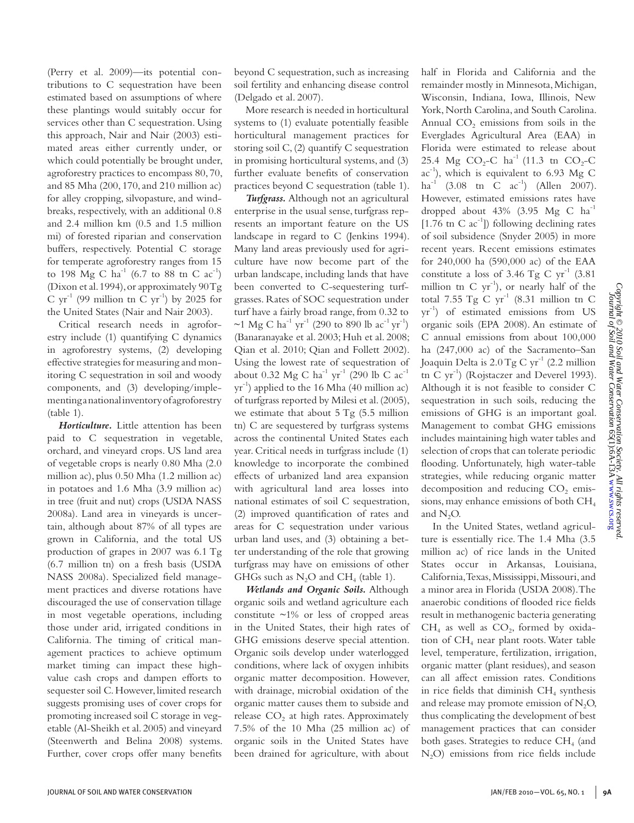(Perry et al. 2009)—its potential contributions to C sequestration have been estimated based on assumptions of where these plantings would suitably occur for services other than C sequestration. Using this approach, Nair and Nair (2003) estimated areas either currently under, or which could potentially be brought under, agroforestry practices to encompass 80, 70, and 85 Mha (200, 170, and 210 million ac) for alley cropping, silvopasture, and windbreaks, respectively, with an additional 0.8 and 2.4 million km (0.5 and 1.5 million mi) of forested riparian and conservation buffers, respectively. Potential C storage for temperate agroforestry ranges from 15 to 198 Mg C  $ha^{-1}$  (6.7 to 88 tn C  $ac^{-1}$ ) (Dixon et al. 1994), or approximately 90 Tg C  $yr^{-1}$  (99 million tn C  $yr^{-1}$ ) by 2025 for the United States (Nair and Nair 2003).

Critical research needs in agroforestry include (1) quantifying C dynamics in agroforestry systems, (2) developing effective strategies for measuring and monitoring C sequestration in soil and woody components, and (3) developing/implementing a national inventory of agroforestry (table 1).

*Horticulture.* Little attention has been paid to C sequestration in vegetable, orchard, and vineyard crops. US land area of vegetable crops is nearly 0.80 Mha (2.0 million ac), plus 0.50 Mha (1.2 million ac) in potatoes and 1.6 Mha (3.9 million ac) in tree (fruit and nut) crops (USDA NASS 2008a). Land area in vineyards is uncertain, although about 87% of all types are grown in California, and the total US production of grapes in 2007 was 6.1 Tg (6.7 million tn) on a fresh basis (USDA NASS 2008a). Specialized field management practices and diverse rotations have discouraged the use of conservation tillage in most vegetable operations, including those under arid, irrigated conditions in California. The timing of critical management practices to achieve optimum market timing can impact these highvalue cash crops and dampen efforts to sequester soil C. However, limited research suggests promising uses of cover crops for promoting increased soil C storage in vegetable (Al-Sheikh et al. 2005) and vineyard (Steenwerth and Belina 2008) systems. Further, cover crops offer many benefits

beyond C sequestration, such as increasing soil fertility and enhancing disease control (Delgado et al. 2007).

More research is needed in horticultural systems to (1) evaluate potentially feasible horticultural management practices for storing soil C, (2) quantify C sequestration in promising horticultural systems, and (3) further evaluate benefits of conservation practices beyond C sequestration (table 1).

*Turfgrass.* Although not an agricultural enterprise in the usual sense, turfgrass represents an important feature on the US landscape in regard to C (Jenkins 1994). Many land areas previously used for agriculture have now become part of the urban landscape, including lands that have been converted to C-sequestering turfgrasses. Rates of SOC sequestration under turf have a fairly broad range, from 0.32 to ~1 Mg C ha<sup>-1</sup> yr<sup>-1</sup> (290 to 890 lb ac<sup>-1</sup> yr<sup>-1</sup>) (Banaranayake et al. 2003; Huh et al. 2008; Qian et al. 2010; Qian and Follett 2002). Using the lowest rate of sequestration of about 0.32 Mg C  $ha^{-1}$  yr<sup>-1</sup> (290 lb C  $ac^{-1}$ )  $yr^{-1}$ ) applied to the 16 Mha (40 million ac) of turfgrass reported by Milesi et al. (2005), we estimate that about 5 Tg (5.5 million tn) C are sequestered by turfgrass systems across the continental United States each year. Critical needs in turfgrass include (1) knowledge to incorporate the combined effects of urbanized land area expansion with agricultural land area losses into national estimates of soil C sequestration, (2) improved quantification of rates and areas for C sequestration under various urban land uses, and (3) obtaining a better understanding of the role that growing turfgrass may have on emissions of other GHGs such as  $N_2O$  and CH<sub>4</sub> (table 1).

*Wetlands and Organic Soils.* Although organic soils and wetland agriculture each constitute  $\sim$ 1% or less of cropped areas in the United States, their high rates of GHG emissions deserve special attention. Organic soils develop under waterlogged conditions, where lack of oxygen inhibits organic matter decomposition. However, with drainage, microbial oxidation of the organic matter causes them to subside and release  $CO<sub>2</sub>$  at high rates. Approximately 7.5% of the 10 Mha (25 million ac) of organic soils in the United States have been drained for agriculture, with about

half in Florida and California and the remainder mostly in Minnesota, Michigan, Wisconsin, Indiana, Iowa, Illinois, New York, North Carolina, and South Carolina. Annual  $CO<sub>2</sub>$  emissions from soils in the Everglades Agricultural Area (EAA) in Florida were estimated to release about 25.4 Mg  $CO_2$ -C ha<sup>-1</sup> (11.3 tn  $CO_2$ -C  $ac^{-1}$ ), which is equivalent to 6.93 Mg C  $ha^{-1}$  (3.08 tn C  $ac^{-1}$ ) (Allen 2007). However, estimated emissions rates have dropped about 43% (3.95 Mg C ha  $[1.76$  tn C ac<sup>-1</sup>]) following declining rates of soil subsidence (Snyder 2005) in more recent years. Recent emissions estimates for 240,000 ha (590,000 ac) of the EAA constitute a loss of 3.46 Tg C  $yr^{-1}$  (3.81) million tn C  $yr^{-1}$ ), or nearly half of the total 7.55 Tg C  $yr^{-1}$  (8.31 million tn C  $yr^{-1}$ ) of estimated emissions from US organic soils (EPA 2008). An estimate of C annual emissions from about 100,000 ha (247,000 ac) of the Sacramento–San Joaquin Delta is  $2.0$  Tg C yr<sup>-1</sup> (2.2 million tn C yr<sup>-1</sup>) (Rojstaczer and Deverel 1993). Although it is not feasible to consider C sequestration in such soils, reducing the emissions of GHG is an important goal. Management to combat GHG emissions includes maintaining high water tables and selection of crops that can tolerate periodic flooding. Unfortunately, high water-table strategies, while reducing organic matter decomposition and reducing  $CO<sub>2</sub>$  emissions, may enhance emissions of both CH4 and N<sub>2</sub>O.

In the United States, wetland agriculture is essentially rice. The 1.4 Mha (3.5 million ac) of rice lands in the United States occur in Arkansas, Louisiana, California, Texas, Mississippi, Missouri, and a minor area in Florida (USDA 2008). The anaerobic conditions of flooded rice fields result in methanogenic bacteria generating  $CH<sub>4</sub>$  as well as  $CO<sub>2</sub>$ , formed by oxidation of CH4 near plant roots. Water table level, temperature, fertilization, irrigation, organic matter (plant residues), and season can all affect emission rates. Conditions in rice fields that diminish  $CH<sub>4</sub>$  synthesis and release may promote emission of  $N_2O$ , thus complicating the development of best management practices that can consider both gases. Strategies to reduce  $CH<sub>4</sub>$  (and N2O) emissions from rice fields include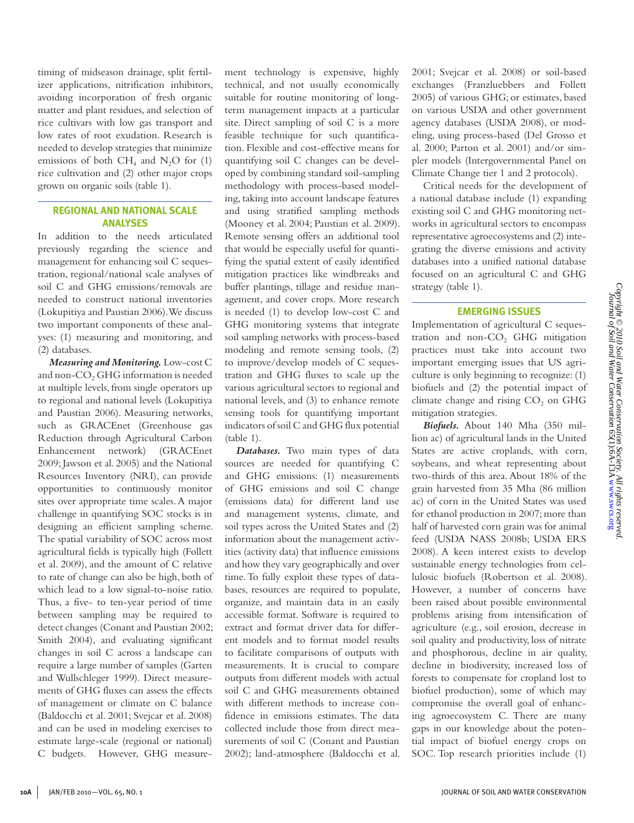timing of midseason drainage, split fertilizer applications, nitrification inhibitors, avoiding incorporation of fresh organic matter and plant residues, and selection of rice cultivars with low gas transport and low rates of root exudation. Research is needed to develop strategies that minimize emissions of both  $CH_4$  and  $N_2O$  for (1) rice cultivation and (2) other major crops grown on organic soils (table 1).

## **Regional and National Scale Analyses**

In addition to the needs articulated previously regarding the science and management for enhancing soil C sequestration, regional/national scale analyses of soil C and GHG emissions/removals are needed to construct national inventories (Lokupitiya and Paustian 2006). We discuss two important components of these analyses: (1) measuring and monitoring, and (2) databases.

*Measuring and Monitoring.* Low-cost C and non-CO<sub>2</sub> GHG information is needed at multiple levels, from single operators up to regional and national levels (Lokupitiya and Paustian 2006). Measuring networks, such as GRACEnet (Greenhouse gas Reduction through Agricultural Carbon Enhancement network) (GRACEnet 2009; Jawson et al. 2005) and the National Resources Inventory (NRI), can provide opportunities to continuously monitor sites over appropriate time scales. A major challenge in quantifying SOC stocks is in designing an efficient sampling scheme. The spatial variability of SOC across most agricultural fields is typically high (Follett et al. 2009), and the amount of C relative to rate of change can also be high, both of which lead to a low signal-to-noise ratio. Thus, a five- to ten-year period of time between sampling may be required to detect changes (Conant and Paustian 2002; Smith 2004), and evaluating significant changes in soil C across a landscape can require a large number of samples (Garten and Wullschleger 1999). Direct measurements of GHG fluxes can assess the effects of management or climate on C balance (Baldocchi et al. 2001; Svejcar et al. 2008) and can be used in modeling exercises to estimate large-scale (regional or national) C budgets. However, GHG measurement technology is expensive, highly technical, and not usually economically suitable for routine monitoring of longterm management impacts at a particular site. Direct sampling of soil C is a more feasible technique for such quantification. Flexible and cost-effective means for quantifying soil C changes can be developed by combining standard soil-sampling methodology with process-based modeling, taking into account landscape features and using stratified sampling methods (Mooney et al. 2004; Paustian et al. 2009). Remote sensing offers an additional tool that would be especially useful for quantifying the spatial extent of easily identified mitigation practices like windbreaks and buffer plantings, tillage and residue management, and cover crops. More research is needed (1) to develop low-cost C and GHG monitoring systems that integrate soil sampling networks with process-based modeling and remote sensing tools, (2) to improve/develop models of C sequestration and GHG fluxes to scale up the various agricultural sectors to regional and national levels, and (3) to enhance remote sensing tools for quantifying important indicators of soil C and GHG flux potential (table 1).

*Databases.* Two main types of data sources are needed for quantifying C and GHG emissions: (1) measurements of GHG emissions and soil C change (emissions data) for different land use and management systems, climate, and soil types across the United States and (2) information about the management activities (activity data) that influence emissions and how they vary geographically and over time. To fully exploit these types of databases, resources are required to populate, organize, and maintain data in an easily accessible format. Software is required to extract and format driver data for different models and to format model results to facilitate comparisons of outputs with measurements. It is crucial to compare outputs from different models with actual soil C and GHG measurements obtained with different methods to increase confidence in emissions estimates. The data collected include those from direct measurements of soil C (Conant and Paustian 2002); land-atmosphere (Baldocchi et al.

2001; Svejcar et al. 2008) or soil-based exchanges (Franzluebbers and Follett 2005) of various GHG; or estimates, based on various USDA and other government agency databases (USDA 2008), or modeling, using process-based (Del Grosso et al. 2000; Parton et al. 2001) and/or simpler models (Intergovernmental Panel on Climate Change tier 1 and 2 protocols).

Critical needs for the development of a national database include (1) expanding existing soil C and GHG monitoring networks in agricultural sectors to encompass representative agroecosystems and (2) integrating the diverse emissions and activity databases into a unified national database focused on an agricultural C and GHG strategy (table 1).

#### **Emerging Issues**

Implementation of agricultural C sequestration and non- $CO<sub>2</sub>$  GHG mitigation practices must take into account two important emerging issues that US agriculture is only beginning to recognize: (1) biofuels and (2) the potential impact of climate change and rising  $CO<sub>2</sub>$  on GHG mitigation strategies.

*Biofuels.* About 140 Mha (350 million ac) of agricultural lands in the United States are active croplands, with corn, soybeans, and wheat representing about two-thirds of this area. About 18% of the grain harvested from 35 Mha (86 million ac) of corn in the United States was used for ethanol production in 2007; more than half of harvested corn grain was for animal feed (USDA NASS 2008b; USDA ERS 2008). A keen interest exists to develop sustainable energy technologies from cellulosic biofuels (Robertson et al. 2008). However, a number of concerns have been raised about possible environmental problems arising from intensification of agriculture (e.g., soil erosion, decrease in soil quality and productivity, loss of nitrate and phosphorous, decline in air quality, decline in biodiversity, increased loss of forests to compensate for cropland lost to biofuel production), some of which may compromise the overall goal of enhancing agroecosystem C. There are many gaps in our knowledge about the potential impact of biofuel energy crops on SOC. Top research priorities include (1)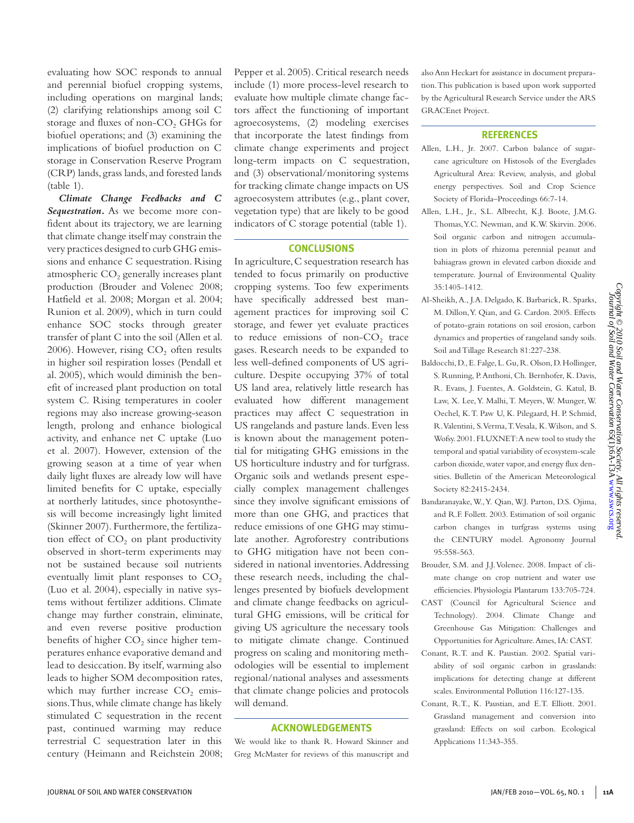evaluating how SOC responds to annual and perennial biofuel cropping systems, including operations on marginal lands; (2) clarifying relationships among soil C storage and fluxes of non-CO<sub>2</sub> GHGs for biofuel operations; and (3) examining the implications of biofuel production on C storage in Conservation Reserve Program (CRP) lands, grass lands, and forested lands (table 1).

*Climate Change Feedbacks and C Sequestration.* As we become more confident about its trajectory, we are learning that climate change itself may constrain the very practices designed to curb GHG emissions and enhance C sequestration. Rising atmospheric  $CO<sub>2</sub>$  generally increases plant production (Brouder and Volenec 2008; Hatfield et al. 2008; Morgan et al. 2004; Runion et al. 2009), which in turn could enhance SOC stocks through greater transfer of plant C into the soil (Allen et al. 2006). However, rising  $CO<sub>2</sub>$  often results in higher soil respiration losses (Pendall et al. 2005), which would diminish the benefit of increased plant production on total system C. Rising temperatures in cooler regions may also increase growing-season length, prolong and enhance biological activity, and enhance net C uptake (Luo et al. 2007). However, extension of the growing season at a time of year when daily light fluxes are already low will have limited benefits for C uptake, especially at northerly latitudes, since photosynthesis will become increasingly light limited (Skinner 2007). Furthermore, the fertilization effect of  $CO<sub>2</sub>$  on plant productivity observed in short-term experiments may not be sustained because soil nutrients eventually limit plant responses to  $CO<sub>2</sub>$ (Luo et al. 2004), especially in native systems without fertilizer additions. Climate change may further constrain, eliminate, and even reverse positive production benefits of higher  $CO<sub>2</sub>$  since higher temperatures enhance evaporative demand and lead to desiccation. By itself, warming also leads to higher SOM decomposition rates, which may further increase  $CO<sub>2</sub>$  emissions. Thus, while climate change has likely stimulated C sequestration in the recent past, continued warming may reduce terrestrial C sequestration later in this century (Heimann and Reichstein 2008; Pepper et al. 2005). Critical research needs include (1) more process-level research to evaluate how multiple climate change factors affect the functioning of important agroecosystems, (2) modeling exercises that incorporate the latest findings from climate change experiments and project long-term impacts on C sequestration, and (3) observational/monitoring systems for tracking climate change impacts on US agroecosystem attributes (e.g., plant cover, vegetation type) that are likely to be good indicators of C storage potential (table 1).

### **Conclusions**

In agriculture, C sequestration research has tended to focus primarily on productive cropping systems. Too few experiments have specifically addressed best management practices for improving soil C storage, and fewer yet evaluate practices to reduce emissions of non- $CO<sub>2</sub>$  trace gases. Research needs to be expanded to less well-defined components of US agriculture. Despite occupying 37% of total US land area, relatively little research has evaluated how different management practices may affect C sequestration in US rangelands and pasture lands. Even less is known about the management potential for mitigating GHG emissions in the US horticulture industry and for turfgrass. Organic soils and wetlands present especially complex management challenges since they involve significant emissions of more than one GHG, and practices that reduce emissions of one GHG may stimulate another. Agroforestry contributions to GHG mitigation have not been considered in national inventories. Addressing these research needs, including the challenges presented by biofuels development and climate change feedbacks on agricultural GHG emissions, will be critical for giving US agriculture the necessary tools to mitigate climate change. Continued progress on scaling and monitoring methodologies will be essential to implement regional/national analyses and assessments that climate change policies and protocols will demand.

## **Acknowledgements**

We would like to thank R. Howard Skinner and Greg McMaster for reviews of this manuscript and

also Ann Heckart for assistance in document preparation. This publication is based upon work supported by the Agricultural Research Service under the ARS GRACEnet Project.

#### **References**

- Allen, L.H., Jr. 2007. Carbon balance of sugarcane agriculture on Histosols of the Everglades Agricultural Area: Review, analysis, and global energy perspectives. Soil and Crop Science Society of Florida–Proceedings 66:7-14.
- Allen, L.H., Jr., S.L. Albrecht, K.J. Boote, J.M.G. Thomas, Y.C. Newman, and K.W. Skirvin. 2006. Soil organic carbon and nitrogen accumulation in plots of rhizoma perennial peanut and bahiagrass grown in elevated carbon dioxide and temperature. Journal of Environmental Quality 35:1405-1412.
- Al-Sheikh, A., J.A. Delgado, K. Barbarick, R. Sparks, M. Dillon, Y. Qian, and G. Cardon. 2005. Effects of potato-grain rotations on soil erosion, carbon dynamics and properties of rangeland sandy soils. Soil and Tillage Research 81:227-238.
- Baldocchi, D., E. Falge, L. Gu, R. Olson, D. Hollinger, S. Running, P. Anthoni, Ch. Bernhofer, K. Davis, R. Evans, J. Fuentes, A. Goldstein, G. Katul, B. Law, X. Lee, Y. Malhi, T. Meyers, W. Munger, W. Oechel, K. T. Paw U, K. Pilegaard, H. P. Schmid, R. Valentini, S. Verma, T. Vesala, K. Wilson, and S. Wofsy. 2001. FLUXNET: A new tool to study the temporal and spatial variability of ecosystem-scale carbon dioxide, water vapor, and energy flux densities. Bulletin of the American Meteorological Society 82:2415-2434.
- Bandaranayake, W., Y. Qian, W.J. Parton, D.S. Ojima, and R.F. Follett. 2003. Estimation of soil organic carbon changes in turfgrass systems using the CENTURY model. Agronomy Journal 95:558-563.
- Brouder, S.M. and J.J. Volenec. 2008. Impact of climate change on crop nutrient and water use efficiencies. Physiologia Plantarum 133:705-724.
- CAST (Council for Agricultural Science and Technology). 2004. Climate Change and Greenhouse Gas Mitigation: Challenges and Opportunities for Agriculture. Ames, IA: CAST.
- Conant, R.T. and K. Paustian. 2002. Spatial variability of soil organic carbon in grasslands: implications for detecting change at different scales. Environmental Pollution 116:127-135.
- Conant, R.T., K. Paustian, and E.T. Elliott. 2001. Grassland management and conversion into grassland: Effects on soil carbon. Ecological Applications 11:343-355.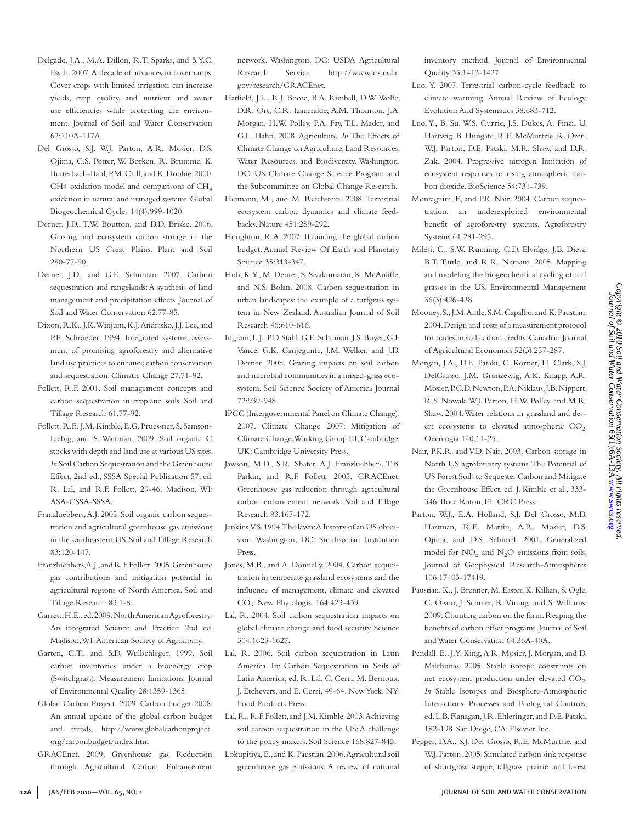- Delgado, J.A., M.A. Dillon, R.T. Sparks, and S.Y.C. Essah. 2007. A decade of advances in cover crops: Cover crops with limited irrigation can increase yields, crop quality, and nutrient and water use efficiencies while protecting the environment. Journal of Soil and Water Conservation 62:110A-117A.
- Del Grosso, S.J. W.J. Parton, A.R. Mosier, D.S. Ojima, C.S. Potter, W. Borken, R. Brumme, K. Butterbach-Bahl, P.M. Crill, and K. Dobbie. 2000. CH4 oxidation model and comparisons of  $CH<sub>4</sub>$ oxidation in natural and managed systems. Global Biogeochemical Cycles 14(4):999-1020.
- Derner, J.D., T.W. Boutton, and D.D. Briske. 2006. Grazing and ecosystem carbon storage in the Northern US Great Plains. Plant and Soil 280-77-90.
- Derner, J.D., and G.E. Schuman. 2007. Carbon sequestration and rangelands: A synthesis of land management and precipitation effects. Journal of Soil and Water Conservation 62:77-85.
- Dixon, R.K., J.K. Winjum, K.J. Andrasko, J.J. Lee, and P.E. Schroeder. 1994. Integrated systems: assessment of promising agroforestry and alternative land use practices to enhance carbon conservation and sequestration. Climatic Change 27:71-92.
- Follett, R.F. 2001. Soil management concepts and carbon sequestration in cropland soils. Soil and Tillage Research 61:77-92.
- Follett, R.F., J.M. Kimble, E.G. Pruessner, S. Samson-Liebig, and S. Waltman. 2009. Soil organic C stocks with depth and land use at various US sites. *In* Soil Carbon Sequestration and the Greenhouse Effect, 2nd ed., SSSA Special Publication 57, ed. R. Lal, and R.F. Follett, 29-46. Madison, WI: ASA-CSSA-SSSA.
- Franzluebbers, A.J. 2005. Soil organic carbon sequestration and agricultural greenhouse gas emissions in the southeastern US. Soil and Tillage Research 83:120-147.
- Franzluebbers, A.J., and R.F. Follett. 2005. Greenhouse gas contributions and mitigation potential in agricultural regions of North America. Soil and Tillage Research 83:1-8.
- Garrett, H.E., ed. 2009. North American Agroforestry: An integrated Science and Practice. 2nd ed. Madison, WI: American Society of Agronomy.
- Garten, C.T., and S.D. Wullschleger. 1999. Soil carbon inventories under a bioenergy crop (Switchgrass): Measurement limitations. Journal of Environmental Quality 28:1359-1365.
- Global Carbon Project. 2009. Carbon budget 2008: An annual update of the global carbon budget and trends. http://www.globalcarbonproject. org/carbonbudget/index.htm
- GRACEnet. 2009. Greenhouse gas Reduction through Agricultural Carbon Enhancement

network. Washington, DC: USDA Agricultural Research Service. http://www.ars.usda. gov/research/GRACEnet.

- Hatfield, J.L., K.J. Boote, B.A. Kimball, D.W. Wolfe, D.R. Ort, C.R. Izaurralde, A.M. Thomson, J.A. Morgan, H.W. Polley, P.A. Fay, T.L. Mader, and G.L. Hahn. 2008. Agriculture. *In* The Effects of Climate Change on Agriculture, Land Resources, Water Resources, and Biodiversity. Washington, DC: US Climate Change Science Program and the Subcommittee on Global Change Research.
- Heimann, M., and M. Reichstein. 2008. Terrestrial ecosystem carbon dynamics and climate feedbacks. Nature 451:289-292.
- Houghton, R.A. 2007. Balancing the global carbon budget. Annual Review Of Earth and Planetary Science 35:313-347.
- Huh, K.Y., M. Deurer, S. Sivakumaran, K. McAuliffe, and N.S. Bolan. 2008. Carbon sequestration in urban landscapes: the example of a turfgrass system in New Zealand. Australian Journal of Soil Research 46:610-616.
- Ingram, L.J., P.D. Stahl, G.E. Schuman, J.S. Buyer, G.F. Vance, G.K. Ganjegunte, J.M. Welker, and J.D. Derner. 2008. Grazing impacts on soil carbon and microbial communities in a mixed-grass ecosystem. Soil Science Society of America Journal 72:939-948.
- IPCC (Intergovernmental Panel on Climate Change). 2007. Climate Change 2007: Mitigation of Climate Change. Working Group III. Cambridge, UK: Cambridge University Press.
- Jawson, M.D., S.R. Shafer, A.J. Franzluebbers, T.B. Parkin, and R.F. Follett. 2005. GRACEnet: Greenhouse gas reduction through agricultural carbon enhancement network. Soil and Tillage Research 83:167-172.
- Jenkins, V.S. 1994. The lawn: A history of an US obsession. Washington, DC: Smithsonian Institution Press.
- Jones, M.B., and A. Donnelly. 2004. Carbon sequestration in temperate grassland ecosystems and the influence of management, climate and elevated CO2. New Phytologist 164:423-439.
- Lal, R. 2004. Soil carbon sequestration impacts on global climate change and food security. Science 304:1623-1627.
- Lal, R. 2006. Soil carbon sequestration in Latin America. In: Carbon Sequestration in Soils of Latin America, ed. R. Lal, C. Cerri, M. Bernoux, J. Etchevers, and E. Cerri, 49-64. New York, NY: Food Products Press.
- Lal, R., R.F. Follett, and J.M. Kimble. 2003. Achieving soil carbon sequestration in the US: A challenge to the policy makers. Soil Science 168:827-845.
- Lokupitiya, E., and K. Paustian. 2006. Agricultural soil greenhouse gas emissions: A review of national

inventory method. Journal of Environmental Quality 35:1413-1427.

- Luo, Y. 2007. Terrestrial carbon-cycle feedback to climate warming. Annual Review of Ecology, Evolution And Systematics 38:683-712.
- Luo, Y., B. Su, W.S. Currie, J.S. Dukes, A. Finzi, U. Hartwig, B. Hungate, R.E. McMurtrie, R. Oren, W.J. Parton, D.E. Pataki, M.R. Shaw, and D.R. Zak. 2004. Progressive nitrogen limitation of ecosystem responses to rising atmospheric carbon dioxide. BioScience 54:731-739.
- Montagnini, F., and P.K. Nair. 2004. Carbon sequestration: an underexploited environmental benefit of agroforestry systems. Agroforestry Systems 61:281-295.
- Milesi, C., S.W. Running, C.D. Elvidge, J.B. Dietz, B.T. Tuttle, and R.R. Nemani. 2005. Mapping and modeling the biogeochemical cycling of turf grasses in the US. Environmental Management 36(3):426-438.
- Mooney, S., J.M. Antle, S.M. Capalbo, and K. Paustian. 2004. Design and costs of a measurement protocol for trades in soil carbon credits. Canadian Journal of Agricultural Economics 52(3):257-287.
- Morgan, J.A., D.E. Pataki, C. Korner, H. Clark, S.J. DelGrosso, J.M. Grunzewig, A.K. Knapp, A.R. Mosier, P.C.D. Newton, P.A. Niklaus, J.B. Nippert, R.S. Nowak, W.J. Parton, H.W. Polley and M.R. Shaw. 2004. Water relations in grassland and desert ecosystems to elevated atmospheric  $CO<sub>2</sub>$ . Oecologia 140:11-25.
- Nair, P.K.R. and V.D. Nair. 2003. Carbon storage in North US agroforestry systems. The Potential of US Forest Soils to Sequester Carbon and Mitigate the Greenhouse Effect, ed. J. Kimble et al., 333- 346. Boca Raton, FL: CRC Press.
- Parton, W.J., E.A. Holland, S.J. Del Grosso, M.D. Hartman, R.E. Martin, A.R. Mosier, D.S. Ojima, and D.S. Schimel. 2001. Generalized model for  $NO_x$  and  $N_2O$  emissions from soils. Journal of Geophysical Research-Atmospheres 106:17403-17419.
- Paustian, K., J. Brenner, M. Easter, K. Killian, S. Ogle, C. Olson, J. Schuler, R. Vining, and S. Williams. 2009. Counting carbon on the farm: Reaping the benefits of carbon offset programs. Journal of Soil and Water Conservation 64:36A-40A.
- Pendall, E., J.Y. King, A.R. Mosier, J. Morgan, and D. Milchunas. 2005. Stable isotope constraints on net ecosystem production under elevated CO<sub>2</sub>. *In* Stable Isotopes and Biosphere-Atmospheric Interactions: Processes and Biological Controls, ed. L.B. Flanagan, J.R. Ehleringer, and D.E. Pataki, 182-198. San Diego, CA: Elsevier Inc.
- Pepper, D.A., S.J. Del Grosso, R.E. McMurtrie, and W.J. Parton. 2005. Simulated carbon sink response of shortgrass steppe, tallgrass prairie and forest